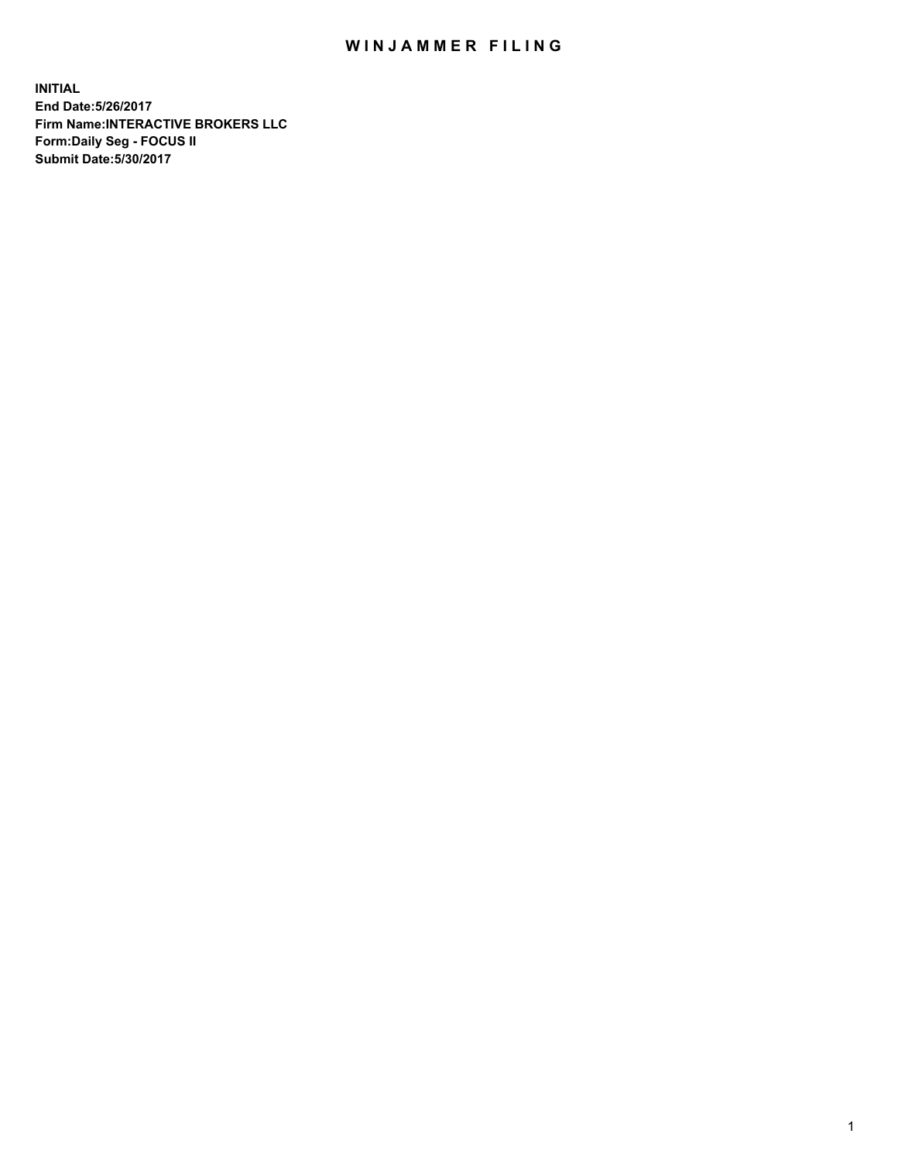## WIN JAMMER FILING

**INITIAL End Date:5/26/2017 Firm Name:INTERACTIVE BROKERS LLC Form:Daily Seg - FOCUS II Submit Date:5/30/2017**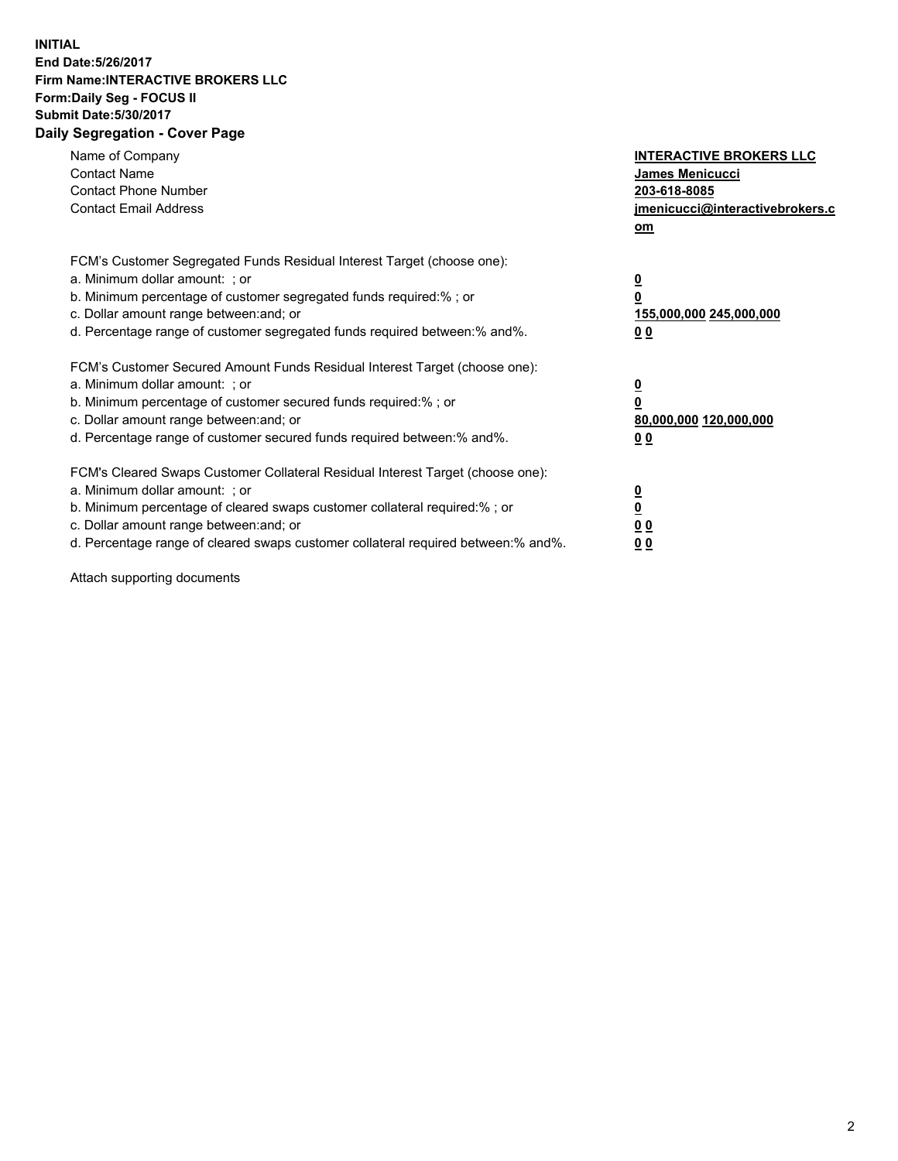## **INITIAL End Date:5/26/2017 Firm Name:INTERACTIVE BROKERS LLC Form:Daily Seg - FOCUS II Submit Date:5/30/2017 Daily Segregation - Cover Page**

| Name of Company<br><b>Contact Name</b><br><b>Contact Phone Number</b><br><b>Contact Email Address</b>                                                                                                                                                                                                                          | <b>INTERACTIVE BROKERS LLC</b><br>James Menicucci<br>203-618-8085<br>jmenicucci@interactivebrokers.c<br>om |
|--------------------------------------------------------------------------------------------------------------------------------------------------------------------------------------------------------------------------------------------------------------------------------------------------------------------------------|------------------------------------------------------------------------------------------------------------|
| FCM's Customer Segregated Funds Residual Interest Target (choose one):<br>a. Minimum dollar amount: ; or<br>b. Minimum percentage of customer segregated funds required:%; or<br>c. Dollar amount range between: and; or<br>d. Percentage range of customer segregated funds required between:% and%.                          | $\overline{\mathbf{0}}$<br>0<br>155,000,000 245,000,000<br>0 <sub>0</sub>                                  |
| FCM's Customer Secured Amount Funds Residual Interest Target (choose one):<br>a. Minimum dollar amount: ; or<br>b. Minimum percentage of customer secured funds required:%; or<br>c. Dollar amount range between: and; or<br>d. Percentage range of customer secured funds required between:% and%.                            | $\overline{\mathbf{0}}$<br>$\overline{\mathbf{0}}$<br>80,000,000 120,000,000<br>00                         |
| FCM's Cleared Swaps Customer Collateral Residual Interest Target (choose one):<br>a. Minimum dollar amount: ; or<br>b. Minimum percentage of cleared swaps customer collateral required:% ; or<br>c. Dollar amount range between: and; or<br>d. Percentage range of cleared swaps customer collateral required between:% and%. | $\overline{\mathbf{0}}$<br>$\overline{\mathbf{0}}$<br>0 <sub>0</sub><br><u>00</u>                          |

Attach supporting documents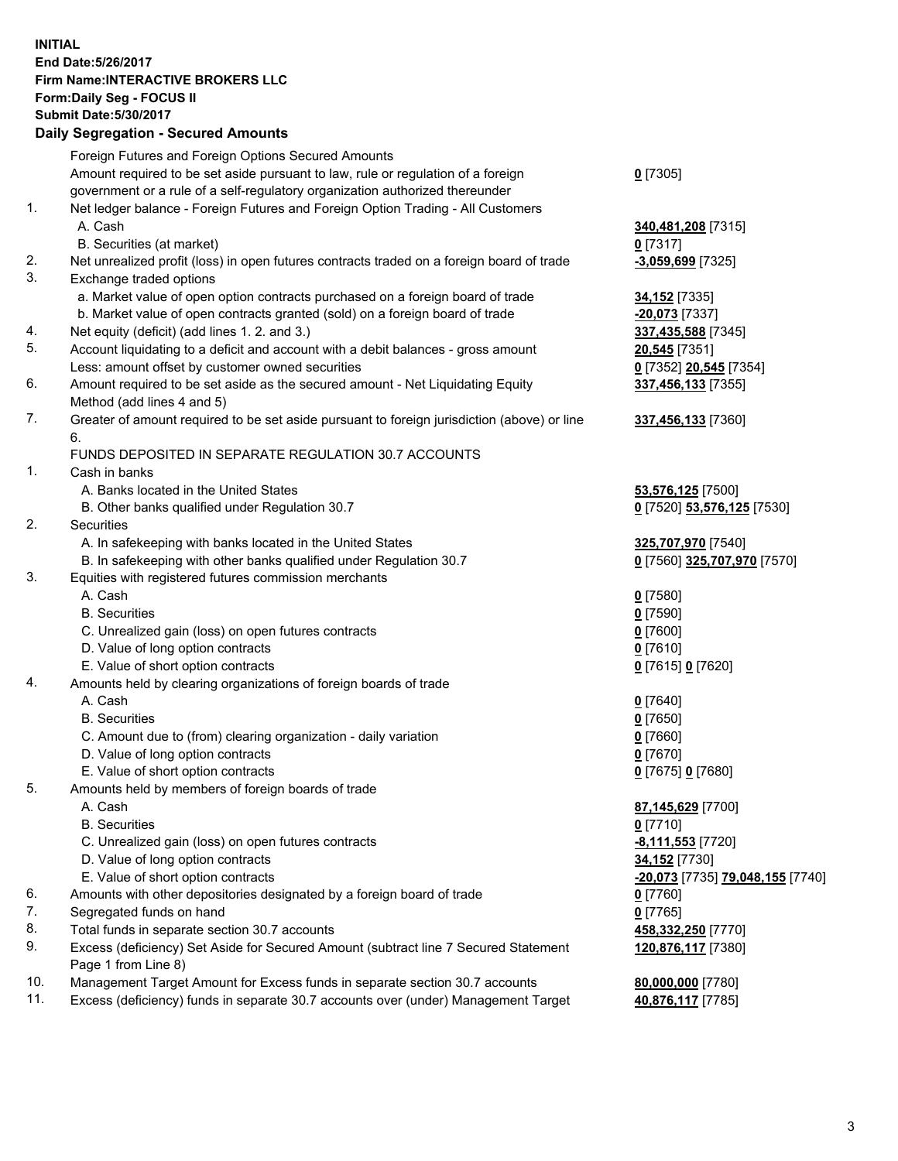## **INITIAL End Date:5/26/2017 Firm Name:INTERACTIVE BROKERS LLC Form:Daily Seg - FOCUS II Submit Date:5/30/2017 Daily Segregation - Secured Amounts**

|     | Daily Jegi egation - Jeculed Aniounts                                                       |                                  |
|-----|---------------------------------------------------------------------------------------------|----------------------------------|
|     | Foreign Futures and Foreign Options Secured Amounts                                         |                                  |
|     | Amount required to be set aside pursuant to law, rule or regulation of a foreign            | $0$ [7305]                       |
|     | government or a rule of a self-regulatory organization authorized thereunder                |                                  |
| 1.  | Net ledger balance - Foreign Futures and Foreign Option Trading - All Customers             |                                  |
|     | A. Cash                                                                                     | 340,481,208 [7315]               |
|     | B. Securities (at market)                                                                   | $0$ [7317]                       |
| 2.  | Net unrealized profit (loss) in open futures contracts traded on a foreign board of trade   |                                  |
| 3.  |                                                                                             | $-3,059,699$ [7325]              |
|     | Exchange traded options                                                                     |                                  |
|     | a. Market value of open option contracts purchased on a foreign board of trade              | <b>34,152</b> [7335]             |
|     | b. Market value of open contracts granted (sold) on a foreign board of trade                | $-20,073$ [7337]                 |
| 4.  | Net equity (deficit) (add lines 1.2. and 3.)                                                | 337,435,588 [7345]               |
| 5.  | Account liquidating to a deficit and account with a debit balances - gross amount           | 20,545 [7351]                    |
|     | Less: amount offset by customer owned securities                                            | 0 [7352] 20,545 [7354]           |
| 6.  | Amount required to be set aside as the secured amount - Net Liquidating Equity              | 337,456,133 [7355]               |
|     | Method (add lines 4 and 5)                                                                  |                                  |
| 7.  | Greater of amount required to be set aside pursuant to foreign jurisdiction (above) or line | 337,456,133 [7360]               |
|     | 6.                                                                                          |                                  |
|     | FUNDS DEPOSITED IN SEPARATE REGULATION 30.7 ACCOUNTS                                        |                                  |
| 1.  | Cash in banks                                                                               |                                  |
|     | A. Banks located in the United States                                                       | 53,576,125 [7500]                |
|     | B. Other banks qualified under Regulation 30.7                                              | 0 [7520] 53,576,125 [7530]       |
| 2.  | Securities                                                                                  |                                  |
|     | A. In safekeeping with banks located in the United States                                   | 325,707,970 [7540]               |
|     | B. In safekeeping with other banks qualified under Regulation 30.7                          | 0 [7560] 325,707,970 [7570]      |
| 3.  | Equities with registered futures commission merchants                                       |                                  |
|     | A. Cash                                                                                     | $0$ [7580]                       |
|     | <b>B.</b> Securities                                                                        | $0$ [7590]                       |
|     | C. Unrealized gain (loss) on open futures contracts                                         | $0$ [7600]                       |
|     | D. Value of long option contracts                                                           | $0$ [7610]                       |
|     | E. Value of short option contracts                                                          | 0 [7615] 0 [7620]                |
| 4.  | Amounts held by clearing organizations of foreign boards of trade                           |                                  |
|     | A. Cash                                                                                     | $0$ [7640]                       |
|     | <b>B.</b> Securities                                                                        | $0$ [7650]                       |
|     | C. Amount due to (from) clearing organization - daily variation                             | $0$ [7660]                       |
|     | D. Value of long option contracts                                                           | $0$ [7670]                       |
|     | E. Value of short option contracts                                                          | 0 [7675] 0 [7680]                |
| 5.  | Amounts held by members of foreign boards of trade                                          |                                  |
|     | A. Cash                                                                                     | 87,145,629 [7700]                |
|     | <b>B.</b> Securities                                                                        | $0$ [7710]                       |
|     | C. Unrealized gain (loss) on open futures contracts                                         | $-8,111,553$ [7720]              |
|     | D. Value of long option contracts                                                           | 34,152 [7730]                    |
|     | E. Value of short option contracts                                                          | -20,073 [7735] 79,048,155 [7740] |
| 6.  | Amounts with other depositories designated by a foreign board of trade                      | 0 [7760]                         |
| 7.  | Segregated funds on hand                                                                    | $0$ [7765]                       |
| 8.  | Total funds in separate section 30.7 accounts                                               | 458,332,250 [7770]               |
| 9.  | Excess (deficiency) Set Aside for Secured Amount (subtract line 7 Secured Statement         | 120,876,117 [7380]               |
|     | Page 1 from Line 8)                                                                         |                                  |
| 10. | Management Target Amount for Excess funds in separate section 30.7 accounts                 | 80,000,000 [7780]                |
| 11. | Excess (deficiency) funds in separate 30.7 accounts over (under) Management Target          | 40,876,117 [7785]                |
|     |                                                                                             |                                  |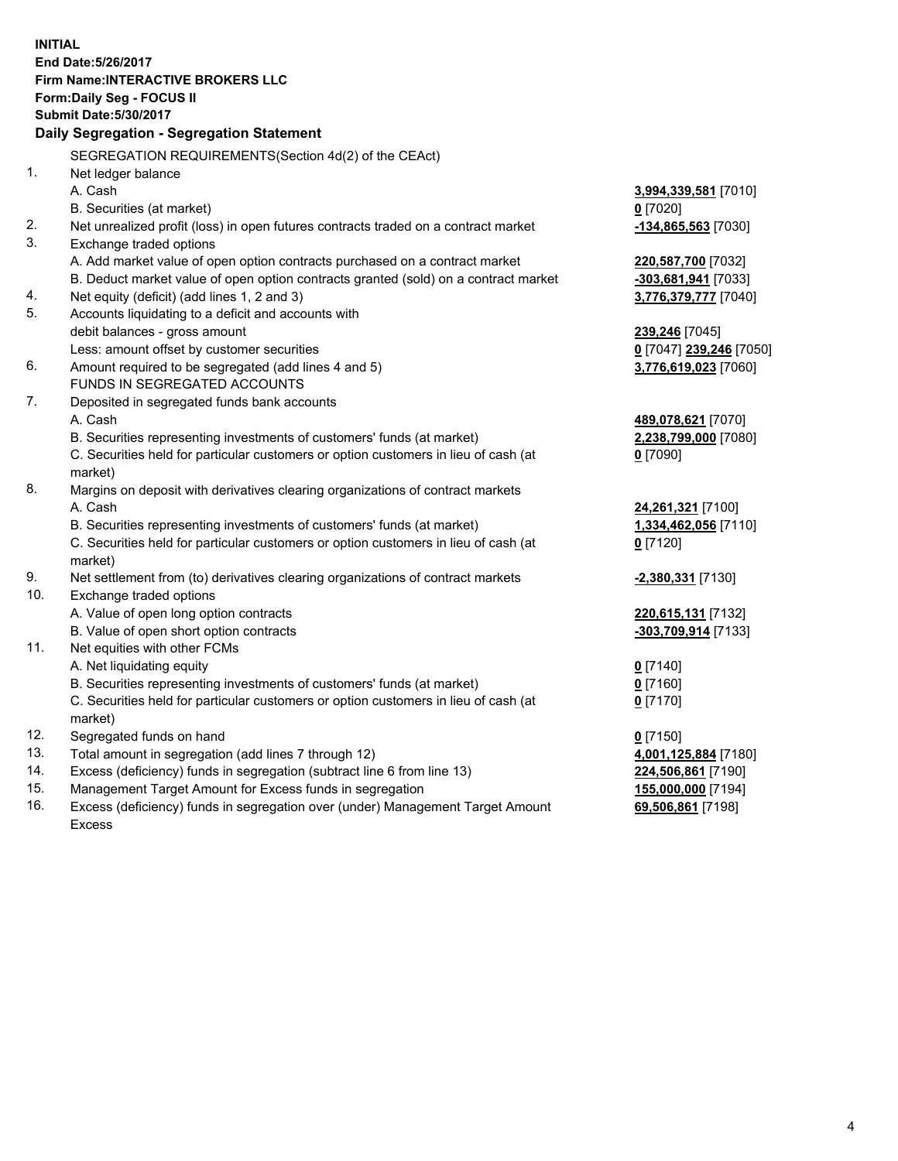**INITIAL End Date:5/26/2017 Firm Name:INTERACTIVE BROKERS LLC Form:Daily Seg - FOCUS II Submit Date:5/30/2017 Daily Segregation - Segregation Statement** SEGREGATION REQUIREMENTS(Section 4d(2) of the CEAct) 1. Net ledger balance A. Cash **3,994,339,581** [7010] B. Securities (at market) **0** [7020] 2. Net unrealized profit (loss) in open futures contracts traded on a contract market **-134,865,563** [7030] 3. Exchange traded options A. Add market value of open option contracts purchased on a contract market **220,587,700** [7032] B. Deduct market value of open option contracts granted (sold) on a contract market **-303,681,941** [7033] 4. Net equity (deficit) (add lines 1, 2 and 3) **3,776,379,777** [7040] 5. Accounts liquidating to a deficit and accounts with debit balances - gross amount **239,246** [7045] Less: amount offset by customer securities **0** [7047] **239,246** [7050] 6. Amount required to be segregated (add lines 4 and 5) **3,776,619,023** [7060] FUNDS IN SEGREGATED ACCOUNTS 7. Deposited in segregated funds bank accounts A. Cash **489,078,621** [7070] B. Securities representing investments of customers' funds (at market) **2,238,799,000** [7080] C. Securities held for particular customers or option customers in lieu of cash (at market) **0** [7090] 8. Margins on deposit with derivatives clearing organizations of contract markets A. Cash **24,261,321** [7100] B. Securities representing investments of customers' funds (at market) **1,334,462,056** [7110] C. Securities held for particular customers or option customers in lieu of cash (at market) **0** [7120] 9. Net settlement from (to) derivatives clearing organizations of contract markets **-2,380,331** [7130] 10. Exchange traded options A. Value of open long option contracts **220,615,131** [7132] B. Value of open short option contracts **-303,709,914** [7133] 11. Net equities with other FCMs A. Net liquidating equity **0** [7140] B. Securities representing investments of customers' funds (at market) **0** [7160] C. Securities held for particular customers or option customers in lieu of cash (at market) **0** [7170] 12. Segregated funds on hand **0** [7150] 13. Total amount in segregation (add lines 7 through 12) **4,001,125,884** [7180] 14. Excess (deficiency) funds in segregation (subtract line 6 from line 13) **224,506,861** [7190] 15. Management Target Amount for Excess funds in segregation **155,000,000** [7194]

16. Excess (deficiency) funds in segregation over (under) Management Target Amount Excess

**69,506,861** [7198]